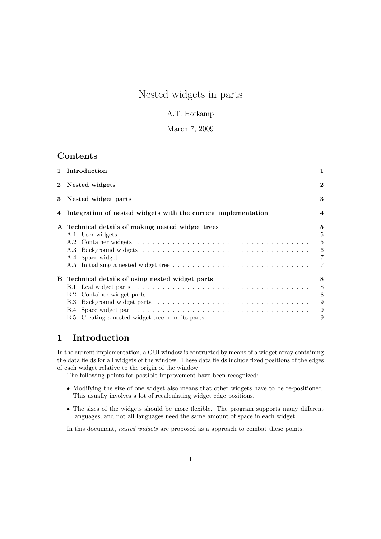# Nested widgets in parts

### A.T. Hofkamp

### March 7, 2009

## Contents

| 1 Introduction                                                               | 1                                                               |  |  |  |
|------------------------------------------------------------------------------|-----------------------------------------------------------------|--|--|--|
| 2 Nested widgets                                                             | $\bf{2}$                                                        |  |  |  |
| 3 Nested widget parts                                                        | 3                                                               |  |  |  |
| 4 Integration of nested widgets with the current implementation              |                                                                 |  |  |  |
| A Technical details of making nested widget trees                            | $\mathbf{5}$<br>$\overline{5}$<br>5<br>6<br>$\overline{7}$<br>7 |  |  |  |
| B Technical details of using nested widget parts<br>B.1<br>B.2<br><b>B.3</b> | 8<br>8<br>8<br>9<br>9                                           |  |  |  |
|                                                                              | 9                                                               |  |  |  |

# 1 Introduction

In the current implementation, a GUI window is contructed by means of a widget array containing the data fields for all widgets of the window. These data fields include fixed positions of the edges of each widget relative to the origin of the window.

The following points for possible improvement have been recognized:

- Modifying the size of one widget also means that other widgets have to be re-positioned. This usually involves a lot of recalculating widget edge positions.
- The sizes of the widgets should be more flexible. The program supports many different languages, and not all languages need the same amount of space in each widget.

In this document, nested widgets are proposed as a approach to combat these points.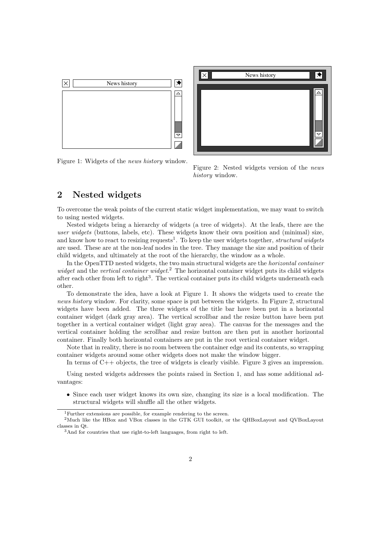



Figure 1: Widgets of the news history window.

Figure 2: Nested widgets version of the news history window.

# 2 Nested widgets

To overcome the weak points of the current static widget implementation, we may want to switch to using nested widgets.

Nested widgets bring a hierarchy of widgets (a tree of widgets). At the leafs, there are the user widgets (buttons, labels, etc). These widgets know their own position and (minimal) size, and know how to react to resizing requests<sup>1</sup>. To keep the user widgets together, structural widgets are used. These are at the non-leaf nodes in the tree. They manage the size and position of their child widgets, and ultimately at the root of the hierarchy, the window as a whole.

In the OpenTTD nested widgets, the two main structural widgets are the horizontal container widget and the vertical container widget.<sup>2</sup> The horizontal container widget puts its child widgets after each other from left to right<sup>3</sup>. The vertical container puts its child widgets underneath each other.

To demonstrate the idea, have a look at Figure 1. It shows the widgets used to create the news history window. For clarity, some space is put between the widgets. In Figure 2, structural widgets have been added. The three widgets of the title bar have been put in a horizontal container widget (dark gray area). The vertical scrollbar and the resize button have been put together in a vertical container widget (light gray area). The canvas for the messages and the vertical container holding the scrollbar and resize button are then put in another horizontal container. Finally both horizontal containers are put in the root vertical container widget.

Note that in reality, there is no room between the container edge and its contents, so wrapping container widgets around some other widgets does not make the window bigger.

In terms of  $C++$  objects, the tree of widgets is clearly visible. Figure 3 gives an impression.

Using nested widgets addresses the points raised in Section 1, and has some additional advantages:

• Since each user widget knows its own size, changing its size is a local modification. The structural widgets will shuffle all the other widgets.

<sup>1</sup>Further extensions are possible, for example rendering to the screen.

<sup>&</sup>lt;sup>2</sup>Much like the HBox and VBox classes in the GTK GUI toolkit, or the QHBoxLayout and QVBoxLayout classes in Qt.

<sup>3</sup>And for countries that use right-to-left languages, from right to left.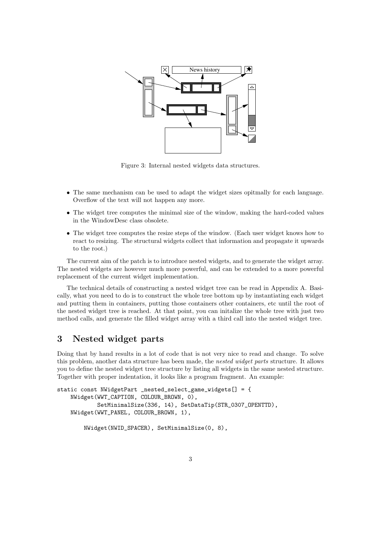

Figure 3: Internal nested widgets data structures.

- The same mechanism can be used to adapt the widget sizes opitmally for each language. Overflow of the text will not happen any more.
- The widget tree computes the minimal size of the window, making the hard-coded values in the WindowDesc class obsolete.
- The widget tree computes the resize steps of the window. (Each user widget knows how to react to resizing. The structural widgets collect that information and propagate it upwards to the root.)

The current aim of the patch is to introduce nested widgets, and to generate the widget array. The nested widgets are however much more powerful, and can be extended to a more powerful replacement of the current widget implementation.

The technical details of constructing a nested widget tree can be read in Appendix A. Basically, what you need to do is to construct the whole tree bottom up by instantiating each widget and putting them in containers, putting those containers other containers, etc until the root of the nested widget tree is reached. At that point, you can initalize the whole tree with just two method calls, and generate the filled widget array with a third call into the nested widget tree.

## 3 Nested widget parts

Doing that by hand results in a lot of code that is not very nice to read and change. To solve this problem, another data structure has been made, the nested widget parts structure. It allows you to define the nested widget tree structure by listing all widgets in the same nested structure. Together with proper indentation, it looks like a program fragment. An example:

```
static const NWidgetPart _nested_select_game_widgets[] = {
   NWidget(WWT_CAPTION, COLOUR_BROWN, 0),
           SetMinimalSize(336, 14), SetDataTip(STR_0307_OPENTTD),
   NWidget(WWT_PANEL, COLOUR_BROWN, 1),
```

```
NWidget(NWID_SPACER), SetMinimalSize(0, 8),
```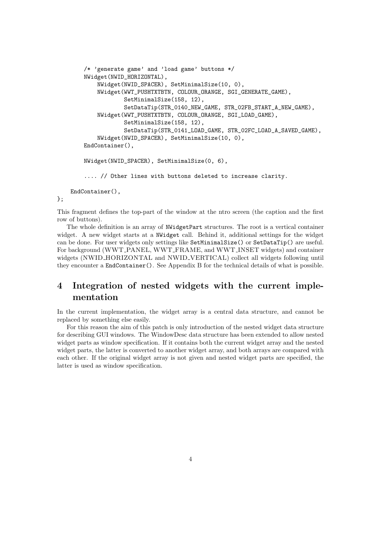```
/* 'generate game' and 'load game' buttons */
    NWidget(NWID_HORIZONTAL),
        NWidget(NWID_SPACER), SetMinimalSize(10, 0),
        NWidget(WWT_PUSHTXTBTN, COLOUR_ORANGE, SGI_GENERATE_GAME),
                SetMinimalSize(158, 12),
                SetDataTip(STR_0140_NEW_GAME, STR_02FB_START_A_NEW_GAME),
        NWidget(WWT_PUSHTXTBTN, COLOUR_ORANGE, SGI_LOAD_GAME),
                SetMinimalSize(158, 12),
                SetDataTip(STR_0141_LOAD_GAME, STR_02FC_LOAD_A_SAVED_GAME),
        NWidget(NWID_SPACER), SetMinimalSize(10, 0),
    EndContainer(),
    NWidget(NWID_SPACER), SetMinimalSize(0, 6),
    .... // Other lines with buttons deleted to increase clarity.
EndContainer(),
```
This fragment defines the top-part of the window at the ntro screen (the caption and the first row of buttons).

};

The whole definition is an array of NWidgetPart structures. The root is a vertical container widget. A new widget starts at a NWidget call. Behind it, additional settings for the widget can be done. For user widgets only settings like SetMinimalSize() or SetDataTip() are useful. For background (WWT\_PANEL, WWT\_FRAME, and WWT\_INSET widgets) and container widgets (NWID HORIZONTAL and NWID VERTICAL) collect all widgets following until they encounter a EndContainer(). See Appendix B for the technical details of what is possible.

# 4 Integration of nested widgets with the current implementation

In the current implementation, the widget array is a central data structure, and cannot be replaced by something else easily.

For this reason the aim of this patch is only introduction of the nested widget data structure for describing GUI windows. The WindowDesc data structure has been extended to allow nested widget parts as window specification. If it contains both the current widget array and the nested widget parts, the latter is converted to another widget array, and both arrays are compared with each other. If the original widget array is not given and nested widget parts are specified, the latter is used as window specification.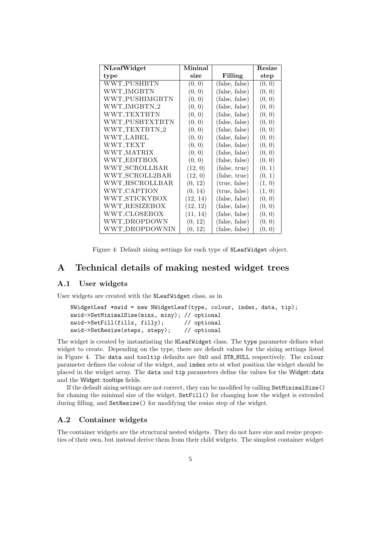| <b>NLeafWidget</b> | Mininal  |                | Resize |
|--------------------|----------|----------------|--------|
| type               | size     | Filling        | step   |
| WWT_PUSHBTN        | (0, 0)   | (false, false) | (0, 0) |
| WWT_IMGBTN         | (0, 0)   | (false, false) | (0, 0) |
| WWT_PUSHIMGBTN     | (0, 0)   | (false, false) | (0, 0) |
| WWT_IMGBTN_2       | (0, 0)   | (false, false) | (0, 0) |
| WWT TEXTBTN        | (0, 0)   | (false, false) | (0, 0) |
| WWT_PUSHTXTBTN     | (0, 0)   | (false, false) | (0, 0) |
| WWT TEXTBTN 2      | (0, 0)   | (false, false) | (0, 0) |
| <b>WWT_LABEL</b>   | (0, 0)   | (false, false) | (0, 0) |
| WWT_TEXT           | (0, 0)   | (false, false) | (0, 0) |
| WWT_MATRIX         | (0, 0)   | (false, false) | (0, 0) |
| WWT_EDITBOX        | (0, 0)   | (false, false) | (0, 0) |
| WWT_SCROLLBAR      | (12, 0)  | (false, true)  | (0, 1) |
| WWT_SCROLL2BAR     | (12, 0)  | (false, true)  | (0, 1) |
| WWT_HSCROLLBAR     | (0, 12)  | (true, false)  | (1, 0) |
| WWT_CAPTION        | (0, 14)  | (true, false)  | (1, 0) |
| WWT_STICKYBOX      | (12, 14) | (false, false) | (0, 0) |
| WWT_RESIZEBOX      | (12, 12) | (false, false) | (0, 0) |
| WWT_CLOSEBOX       | (11, 14) | (false, false) | (0, 0) |
| WWT_DROPDOWN       | (0, 12)  | (false, false) | (0, 0) |
| WWT_DROPDOWNIN     | (0, 12)  | (false, false) | (0, 0) |

Figure 4: Default sizing settings for each type of NLeafWidget object.

# A Technical details of making nested widget trees

### A.1 User widgets

User widgets are created with the NLeafWidget class, as in

```
NWidgetLeaf *nwid = new NWidgetLeaf(type, colour, index, data, tip);
nwid->SetMinimalSize(minx, miny); // optional
nwid->SetFill(fillx, filly); // optional
nwid->SetResize(stepx, stepy); // optional
```
The widget is created by instantiating the NLeafWidget class. The type parameter defines what widget to create. Depending on the type, there are default values for the sizing settings listed in Figure 4. The data and tooltip defaults are 0x0 and STR NULL respectively. The colour parameter defines the colour of the widget, and index sets at what position the widget should be placed in the widget array. The data and tip parameters define the values for the Widget::data and the Widget::tooltips fields.

If the default sizing settings are not correct, they can be modified by calling SetMinimalSize() for chaning the minimal size of the widget, SetFill() for changing how the widget is extended during filling, and SetResize() for modifying the resize step of the widget.

#### A.2 Container widgets

The container widgets are the structural nested widgets. They do not have size and resize properties of their own, but instead derive them from their child widgets. The simplest container widget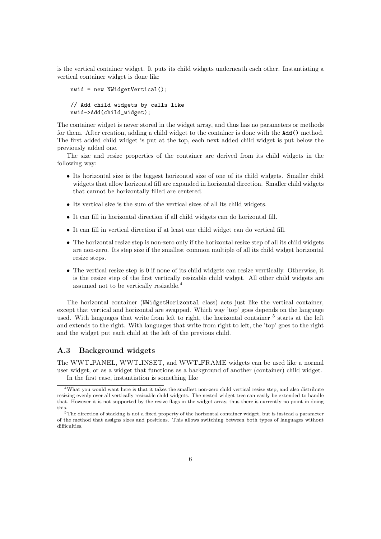is the vertical container widget. It puts its child widgets underneath each other. Instantiating a vertical container widget is done like

```
nwid = new NWidgetVertical();
// Add child widgets by calls like
nwid->Add(child_widget);
```
The container widget is never stored in the widget array, and thus has no parameters or methods for them. After creation, adding a child widget to the container is done with the Add() method. The first added child widget is put at the top, each next added child widget is put below the previously added one.

The size and resize properties of the container are derived from its child widgets in the following way:

- Its horizontal size is the biggest horizontal size of one of its child widgets. Smaller child widgets that allow horizontal fill are expanded in horizontal direction. Smaller child widgets that cannot be horizontally filled are centered.
- Its vertical size is the sum of the vertical sizes of all its child widgets.
- It can fill in horizontal direction if all child widgets can do horizontal fill.
- It can fill in vertical direction if at least one child widget can do vertical fill.
- The horizontal resize step is non-zero only if the horizontal resize step of all its child widgets are non-zero. Its step size if the smallest common multiple of all its child widget horizontal resize steps.
- The vertical resize step is 0 if none of its child widgets can resize verrtically. Otherwise, it is the resize step of the first vertically resizable child widget. All other child widgets are assumed not to be vertically resizable.<sup>4</sup>

The horizontal container (NWidgetHorizontal class) acts just like the vertical container, except that vertical and horizontal are swapped. Which way 'top' goes depends on the language used. With languages that write from left to right, the horizontal container  $^5$  starts at the left and extends to the right. With languages that write from right to left, the 'top' goes to the right and the widget put each child at the left of the previous child.

#### A.3 Background widgets

The WWT PANEL, WWT INSET, and WWT FRAME widgets can be used like a normal user widget, or as a widget that functions as a background of another (container) child widget. In the first case, instantiation is something like

<sup>&</sup>lt;sup>4</sup>What you would want here is that it takes the smallest non-zero child vertical resize step, and also distribute resizing evenly over all vertically resizable child widgets. The nested widget tree can easily be extended to handle that. However it is not supported by the resize flags in the widget array, thus there is currently no point in doing this.

 $5$ The direction of stacking is not a fixed property of the horizontal container widget, but is instead a parameter of the method that assigns sizes and positions. This allows switching between both types of languages without difficulties.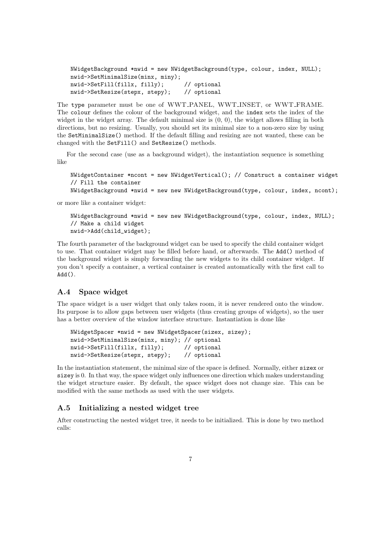```
NWidgetBackground *nwid = new NWidgetBackground(type, colour, index, NULL);
nwid->SetMinimalSize(minx, miny);
nwid->SetFill(fillx, filly); // optional
nwid->SetResize(stepx, stepy); // optional
```
The type parameter must be one of WWT PANEL, WWT INSET, or WWT FRAME. The colour defines the colour of the background widget, and the index sets the index of the widget in the widget array. The default minimal size is  $(0, 0)$ , the widget allows filling in both directions, but no resizing. Usually, you should set its minimal size to a non-zero size by using the SetMinimalSize() method. If the default filling and resizing are not wanted, these can be changed with the SetFill() and SetResize() methods.

For the second case (use as a background widget), the instantiation sequence is something like

```
NWidgetContainer *ncont = new NWidgetVertical(); // Construct a container widget
// Fill the container
NWidgetBackground *nwid = new new NWidgetBackground(type, colour, index, ncont);
```
or more like a container widget:

```
NWidgetBackground *nwid = new new NWidgetBackground(type, colour, index, NULL);
// Make a child widget
nwid->Add(child_widget);
```
The fourth parameter of the background widget can be used to specify the child container widget to use. That container widget may be filled before hand, or afterwards. The Add() method of the background widget is simply forwarding the new widgets to its child container widget. If you don't specify a container, a vertical container is created automatically with the first call to  $Add()$ .

#### A.4 Space widget

The space widget is a user widget that only takes room, it is never rendered onto the window. Its purpose is to allow gaps between user widgets (thus creating groups of widgets), so the user has a better overview of the window interface structure. Instantiation is done like

```
NWidgetSpacer *nwid = new NWidgetSpacer(sizex, sizey);
nwid->SetMinimalSize(minx, miny); // optional
nwid->SetFill(fillx, filly); // optional<br>nwid->SetResize(stepx, stepy); // optional
nwid->SetResize(stepx, stepy);
```
In the instantiation statement, the minimal size of the space is defined. Normally, either sizex or sizey is 0. In that way, the space widget only influences one direction which makes understanding the widget structure easier. By default, the space widget does not change size. This can be modified with the same methods as used with the user widgets.

#### A.5 Initializing a nested widget tree

After constructing the nested widget tree, it needs to be initialized. This is done by two method calls: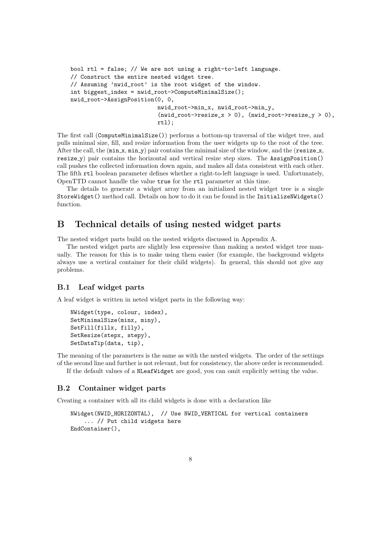```
bool rtl = false; // We are not using a right-to-left language.
// Construct the entire nested widget tree.
// Assuming 'nwid_root' is the root widget of the window.
int biggest_index = nwid_root->ComputeMinimalSize();
nwid_root->AssignPosition(0, 0,
                             nwid_root->min_x, nwid_root->min_y,
                             (nwid\_root \rightarrow \text{resize}_x > 0), (nwid\_root \rightarrow \text{resize}_y > 0),
                             rtl);
```
The first call (ComputeMinimalSize()) performs a bottom-up traversal of the widget tree, and pulls minimal size, fill, and resize information from the user widgets up to the root of the tree. After the call, the  $(\min x, \min y)$  pair contains the minimal size of the window, and the (resize x, resize\_y) pair contains the horizontal and vertical resize step sizes. The AssignPosition() call pushes the collected information down again, and makes all data consistent with each other. The fifth rtl boolean parameter defines whether a right-to-left language is used. Unfortunately, OpenTTD cannot handle the value true for the rtl parameter at this time.

The details to generate a widget array from an initialized nested widget tree is a single StoreWidget() method call. Details on how to do it can be found in the InitializeNWidgets() function.

### B Technical details of using nested widget parts

The nested widget parts build on the nested widgets discussed in Appendix A.

The nested widget parts are slightly less expressive than making a nested widget tree manually. The reason for this is to make using them easier (for example, the background widgets always use a vertical container for their child widgets). In general, this should not give any problems.

#### B.1 Leaf widget parts

A leaf widget is written in neted widget parts in the following way:

```
NWidget(type, colour, index),
SetMinimalSize(minx, miny),
SetFill(fillx, filly),
SetResize(stepx, stepy),
SetDataTip(data, tip),
```
The meaning of the parameters is the same as with the nested widgets. The order of the settings of the second line and further is not relevant, but for consistency, the above order is recommended.

If the default values of a NLeafWidget are good, you can omit explicitly setting the value.

### B.2 Container widget parts

Creating a container with all its child widgets is done with a declaration like

```
NWidget(NWID_HORIZONTAL), // Use NWID_VERTICAL for vertical containers
    ... // Put child widgets here
EndContainer(),
```